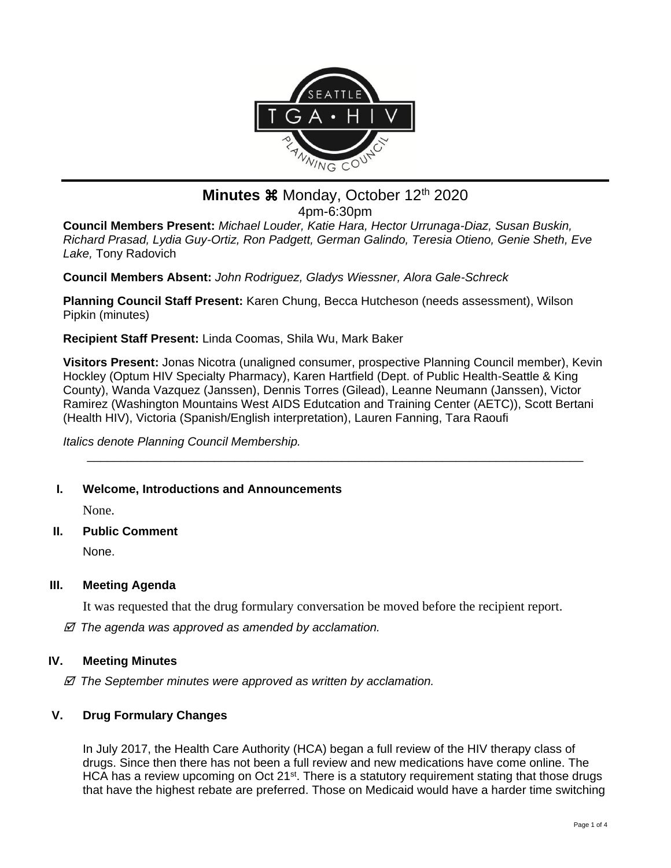

# **Minutes**  $\mathcal{H}$  Monday, October 12<sup>th</sup> 2020 4pm-6:30pm

**Council Members Present:** *Michael Louder, Katie Hara, Hector Urrunaga-Diaz, Susan Buskin, Richard Prasad, Lydia Guy-Ortiz, Ron Padgett, German Galindo, Teresia Otieno, Genie Sheth, Eve Lake,* Tony Radovich

**Council Members Absent:** *John Rodriguez, Gladys Wiessner, Alora Gale-Schreck*

**Planning Council Staff Present:** Karen Chung, Becca Hutcheson (needs assessment), Wilson Pipkin (minutes)

**Recipient Staff Present:** Linda Coomas, Shila Wu, Mark Baker

**Visitors Present:** Jonas Nicotra (unaligned consumer, prospective Planning Council member), Kevin Hockley (Optum HIV Specialty Pharmacy), Karen Hartfield (Dept. of Public Health-Seattle & King County), Wanda Vazquez (Janssen), Dennis Torres (Gilead), Leanne Neumann (Janssen), Victor Ramirez (Washington Mountains West AIDS Edutcation and Training Center (AETC)), Scott Bertani (Health HIV), Victoria (Spanish/English interpretation), Lauren Fanning, Tara Raoufi

\_\_\_\_\_\_\_\_\_\_\_\_\_\_\_\_\_\_\_\_\_\_\_\_\_\_\_\_\_\_\_\_\_\_\_\_\_\_\_\_\_\_\_\_\_\_\_\_\_\_\_\_\_\_\_\_\_\_\_\_\_\_\_\_\_\_\_\_\_\_\_\_\_\_

*Italics denote Planning Council Membership.* 

# **I. Welcome, Introductions and Announcements**

None.

**II. Public Comment**

None.

# **III. Meeting Agenda**

It was requested that the drug formulary conversation be moved before the recipient report.

 *The agenda was approved as amended by acclamation.*

#### **IV. Meeting Minutes**

 *The September minutes were approved as written by acclamation.*

# **V. Drug Formulary Changes**

In July 2017, the Health Care Authority (HCA) began a full review of the HIV therapy class of drugs. Since then there has not been a full review and new medications have come online. The HCA has a review upcoming on Oct 21<sup>st</sup>. There is a statutory requirement stating that those drugs that have the highest rebate are preferred. Those on Medicaid would have a harder time switching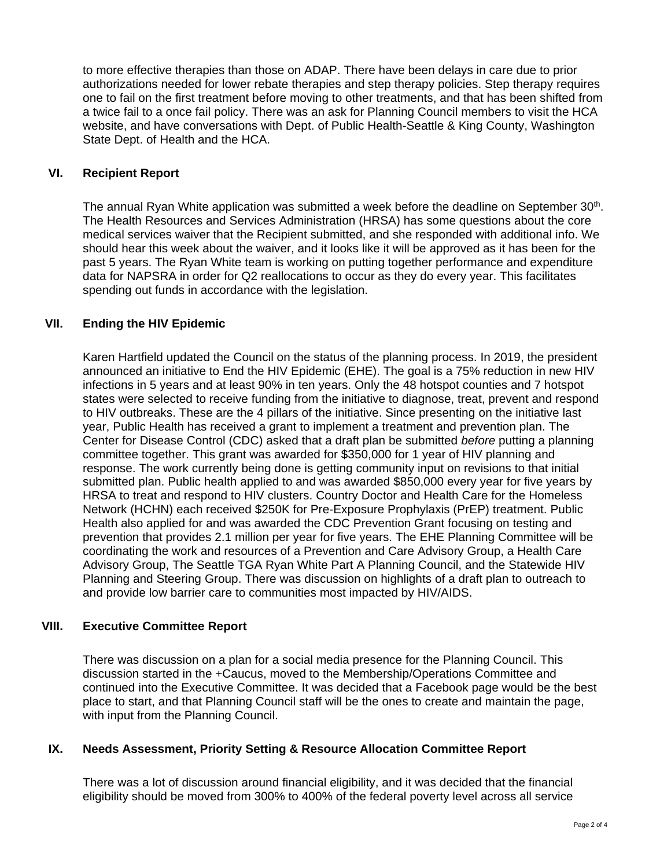to more effective therapies than those on ADAP. There have been delays in care due to prior authorizations needed for lower rebate therapies and step therapy policies. Step therapy requires one to fail on the first treatment before moving to other treatments, and that has been shifted from a twice fail to a once fail policy. There was an ask for Planning Council members to visit the HCA website, and have conversations with Dept. of Public Health-Seattle & King County, Washington State Dept. of Health and the HCA.

#### **VI. Recipient Report**

The annual Ryan White application was submitted a week before the deadline on September 30<sup>th</sup>. The Health Resources and Services Administration (HRSA) has some questions about the core medical services waiver that the Recipient submitted, and she responded with additional info. We should hear this week about the waiver, and it looks like it will be approved as it has been for the past 5 years. The Ryan White team is working on putting together performance and expenditure data for NAPSRA in order for Q2 reallocations to occur as they do every year. This facilitates spending out funds in accordance with the legislation.

# **VII. Ending the HIV Epidemic**

Karen Hartfield updated the Council on the status of the planning process. In 2019, the president announced an initiative to End the HIV Epidemic (EHE). The goal is a 75% reduction in new HIV infections in 5 years and at least 90% in ten years. Only the 48 hotspot counties and 7 hotspot states were selected to receive funding from the initiative to diagnose, treat, prevent and respond to HIV outbreaks. These are the 4 pillars of the initiative. Since presenting on the initiative last year, Public Health has received a grant to implement a treatment and prevention plan. The Center for Disease Control (CDC) asked that a draft plan be submitted *before* putting a planning committee together. This grant was awarded for \$350,000 for 1 year of HIV planning and response. The work currently being done is getting community input on revisions to that initial submitted plan. Public health applied to and was awarded \$850,000 every year for five years by HRSA to treat and respond to HIV clusters. Country Doctor and Health Care for the Homeless Network (HCHN) each received \$250K for Pre-Exposure Prophylaxis (PrEP) treatment. Public Health also applied for and was awarded the CDC Prevention Grant focusing on testing and prevention that provides 2.1 million per year for five years. The EHE Planning Committee will be coordinating the work and resources of a Prevention and Care Advisory Group, a Health Care Advisory Group, The Seattle TGA Ryan White Part A Planning Council, and the Statewide HIV Planning and Steering Group. There was discussion on highlights of a draft plan to outreach to and provide low barrier care to communities most impacted by HIV/AIDS.

#### **VIII. Executive Committee Report**

There was discussion on a plan for a social media presence for the Planning Council. This discussion started in the +Caucus, moved to the Membership/Operations Committee and continued into the Executive Committee. It was decided that a Facebook page would be the best place to start, and that Planning Council staff will be the ones to create and maintain the page, with input from the Planning Council.

# **IX. Needs Assessment, Priority Setting & Resource Allocation Committee Report**

There was a lot of discussion around financial eligibility, and it was decided that the financial eligibility should be moved from 300% to 400% of the federal poverty level across all service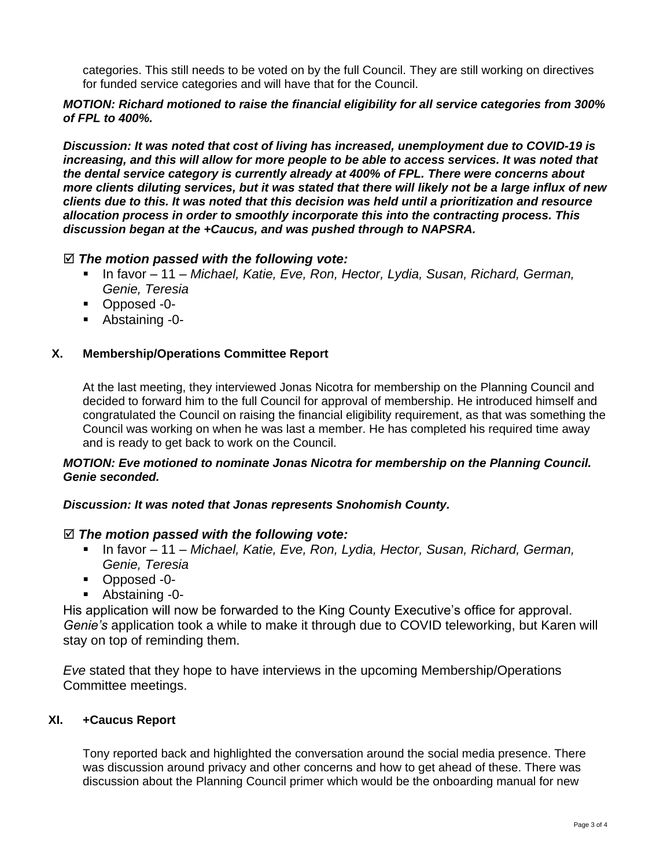categories. This still needs to be voted on by the full Council. They are still working on directives for funded service categories and will have that for the Council.

#### *MOTION: Richard motioned to raise the financial eligibility for all service categories from 300% of FPL to 400%.*

*Discussion: It was noted that cost of living has increased, unemployment due to COVID-19 is increasing, and this will allow for more people to be able to access services. It was noted that the dental service category is currently already at 400% of FPL. There were concerns about more clients diluting services, but it was stated that there will likely not be a large influx of new clients due to this. It was noted that this decision was held until a prioritization and resource allocation process in order to smoothly incorporate this into the contracting process. This discussion began at the +Caucus, and was pushed through to NAPSRA.*

# *The motion passed with the following vote:*

- In favor 11 *Michael, Katie, Eve, Ron, Hector, Lydia, Susan, Richard, German, Genie, Teresia*
- Opposed -0-
- Abstaining -0-

# **X. Membership/Operations Committee Report**

At the last meeting, they interviewed Jonas Nicotra for membership on the Planning Council and decided to forward him to the full Council for approval of membership. He introduced himself and congratulated the Council on raising the financial eligibility requirement, as that was something the Council was working on when he was last a member. He has completed his required time away and is ready to get back to work on the Council.

#### *MOTION: Eve motioned to nominate Jonas Nicotra for membership on the Planning Council. Genie seconded.*

#### *Discussion: It was noted that Jonas represents Snohomish County.*

#### *The motion passed with the following vote:*

- In favor 11 *Michael, Katie, Eve, Ron, Lydia, Hector, Susan, Richard, German, Genie, Teresia*
- Opposed -0-
- Abstaining -0-

His application will now be forwarded to the King County Executive's office for approval. *Genie's* application took a while to make it through due to COVID teleworking, but Karen will stay on top of reminding them.

*Eve* stated that they hope to have interviews in the upcoming Membership/Operations Committee meetings.

# **XI. +Caucus Report**

Tony reported back and highlighted the conversation around the social media presence. There was discussion around privacy and other concerns and how to get ahead of these. There was discussion about the Planning Council primer which would be the onboarding manual for new